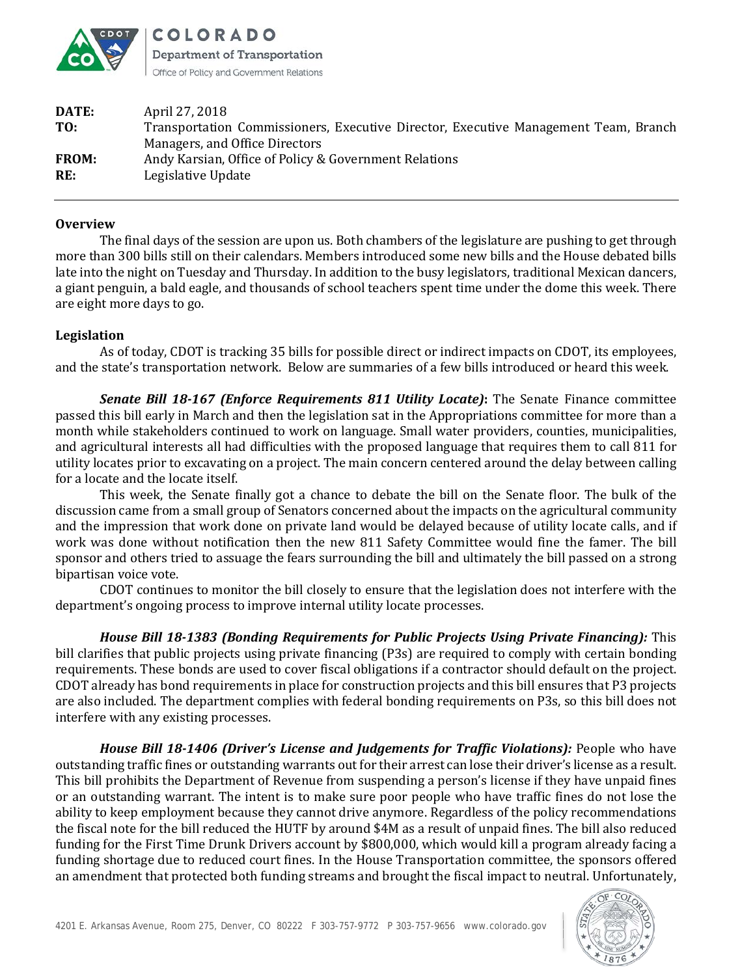

COLORADO **Department of Transportation** Office of Policy and Government Relations

| DATE:        | April 27, 2018                                                                      |
|--------------|-------------------------------------------------------------------------------------|
| TO:          | Transportation Commissioners, Executive Director, Executive Management Team, Branch |
|              | Managers, and Office Directors                                                      |
| <b>FROM:</b> | Andy Karsian, Office of Policy & Government Relations                               |
| RE:          | Legislative Update                                                                  |
|              |                                                                                     |

## **Overview**

The final days of the session are upon us. Both chambers of the legislature are pushing to get through more than 300 bills still on their calendars. Members introduced some new bills and the House debated bills late into the night on Tuesday and Thursday. In addition to the busy legislators, traditional Mexican dancers, a giant penguin, a bald eagle, and thousands of school teachers spent time under the dome this week. There are eight more days to go.

## **Legislation**

As of today, CDOT is tracking 35 bills for possible direct or indirect impacts on CDOT, its employees, and the state's transportation network. Below are summaries of a few bills introduced or heard this week.

*Senate Bill 18-167 (Enforce Requirements 811 Utility Locate)***:** The Senate Finance committee passed this bill early in March and then the legislation sat in the Appropriations committee for more than a month while stakeholders continued to work on language. Small water providers, counties, municipalities, and agricultural interests all had difficulties with the proposed language that requires them to call 811 for utility locates prior to excavating on a project. The main concern centered around the delay between calling for a locate and the locate itself.

This week, the Senate finally got a chance to debate the bill on the Senate floor. The bulk of the discussion came from a small group of Senators concerned about the impacts on the agricultural community and the impression that work done on private land would be delayed because of utility locate calls, and if work was done without notification then the new 811 Safety Committee would fine the famer. The bill sponsor and others tried to assuage the fears surrounding the bill and ultimately the bill passed on a strong bipartisan voice vote.

CDOT continues to monitor the bill closely to ensure that the legislation does not interfere with the department's ongoing process to improve internal utility locate processes.

*House Bill 18-1383 (Bonding Requirements for Public Projects Using Private Financing):* This bill clarifies that public projects using private financing (P3s) are required to comply with certain bonding requirements. These bonds are used to cover fiscal obligations if a contractor should default on the project. CDOT already has bond requirements in place for construction projects and this bill ensures that P3 projects are also included. The department complies with federal bonding requirements on P3s, so this bill does not interfere with any existing processes.

*House Bill 18-1406 (Driver's License and Judgements for Traffic Violations):* People who have outstanding traffic fines or outstanding warrants out for their arrest can lose their driver's license as a result. This bill prohibits the Department of Revenue from suspending a person's license if they have unpaid fines or an outstanding warrant. The intent is to make sure poor people who have traffic fines do not lose the ability to keep employment because they cannot drive anymore. Regardless of the policy recommendations the fiscal note for the bill reduced the HUTF by around \$4M as a result of unpaid fines. The bill also reduced funding for the First Time Drunk Drivers account by \$800,000, which would kill a program already facing a funding shortage due to reduced court fines. In the House Transportation committee, the sponsors offered an amendment that protected both funding streams and brought the fiscal impact to neutral. Unfortunately,